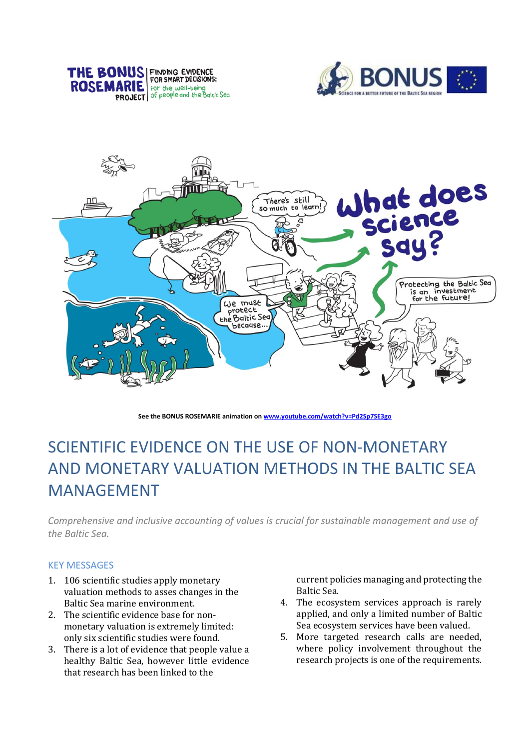





**See the BONUS ROSEMARIE animation o[n www.youtube.com/watch?v=Pd2Sp7SE3go](http://www.youtube.com/watch?v=Pd2Sp7SE3go)**

# SCIENTIFIC EVIDENCE ON THE USE OF NON-MONETARY AND MONETARY VALUATION METHODS IN THE BALTIC SEA MANAGEMENT

*Comprehensive and inclusive accounting of values is crucial for sustainable management and use of the Baltic Sea.*

## KEY MESSAGES

- 1. 106 scientific studies apply monetary valuation methods to asses changes in the Baltic Sea marine environment.
- 2. The scientific evidence base for nonmonetary valuation is extremely limited: only six scientific studies were found.
- 3. There is a lot of evidence that people value a healthy Baltic Sea, however little evidence that research has been linked to the

current policies managing and protecting the Baltic Sea.

- 4. The ecosystem services approach is rarely applied, and only a limited number of Baltic Sea ecosystem services have been valued.
- 5. More targeted research calls are needed, where policy involvement throughout the research projects is one of the requirements.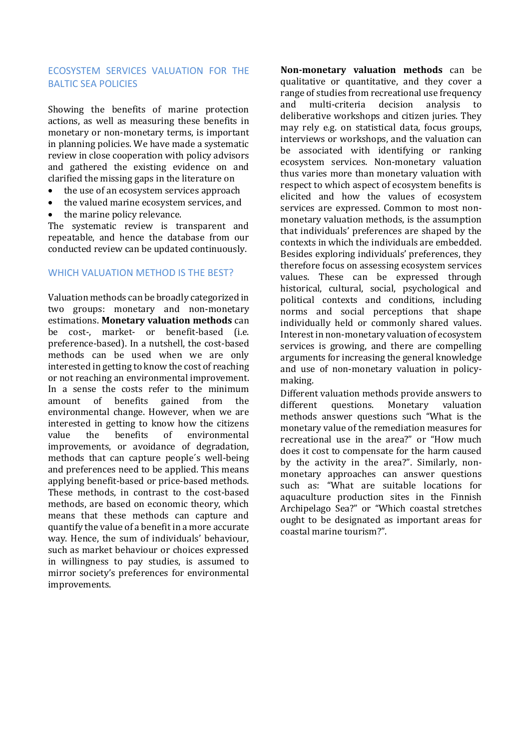## ECOSYSTEM SERVICES VALUATION FOR THE BALTIC SEA POLICIES

Showing the benefits of marine protection actions, as well as measuring these benefits in monetary or non-monetary terms, is important in planning policies. We have made a systematic review in close cooperation with policy advisors and gathered the existing evidence on and clarified the missing gaps in the literature on

- the use of an ecosystem services approach
- the valued marine ecosystem services, and
- the marine policy relevance.

The systematic review is transparent and repeatable, and hence the database from our conducted review can be updated continuously.

## WHICH VALUATION METHOD IS THE BEST?

Valuation methods can be broadly categorized in two groups: monetary and non-monetary estimations. **Monetary valuation methods** can be cost-, market- or benefit-based (i.e. preference-based). In a nutshell, the cost-based methods can be used when we are only interested in getting to know the cost of reaching or not reaching an environmental improvement. In a sense the costs refer to the minimum amount of benefits gained from the environmental change. However, when we are interested in getting to know how the citizens value the benefits of environmental improvements, or avoidance of degradation, methods that can capture people´s well-being and preferences need to be applied. This means applying benefit-based or price-based methods. These methods, in contrast to the cost-based methods, are based on economic theory, which means that these methods can capture and quantify the value of a benefit in a more accurate way. Hence, the sum of individuals' behaviour, such as market behaviour or choices expressed in willingness to pay studies, is assumed to mirror society's preferences for environmental improvements.

**Non-monetary valuation methods** can be qualitative or quantitative, and they cover a range of studies from recreational use frequency and multi-criteria decision analysis to deliberative workshops and citizen juries. They may rely e.g. on statistical data, focus groups, interviews or workshops, and the valuation can be associated with identifying or ranking ecosystem services. Non-monetary valuation thus varies more than monetary valuation with respect to which aspect of ecosystem benefits is elicited and how the values of ecosystem services are expressed. Common to most nonmonetary valuation methods, is the assumption that individuals' preferences are shaped by the contexts in which the individuals are embedded. Besides exploring individuals' preferences, they therefore focus on assessing ecosystem services values. These can be expressed through historical, cultural, social, psychological and political contexts and conditions, including norms and social perceptions that shape individually held or commonly shared values. Interest in non-monetary valuation of ecosystem services is growing, and there are compelling arguments for increasing the general knowledge and use of non-monetary valuation in policymaking.

Different valuation methods provide answers to different questions. Monetary valuation methods answer questions such "What is the monetary value of the remediation measures for recreational use in the area?" or "How much does it cost to compensate for the harm caused by the activity in the area?". Similarly, nonmonetary approaches can answer questions such as: "What are suitable locations for aquaculture production sites in the Finnish Archipelago Sea?" or "Which coastal stretches ought to be designated as important areas for coastal marine tourism?".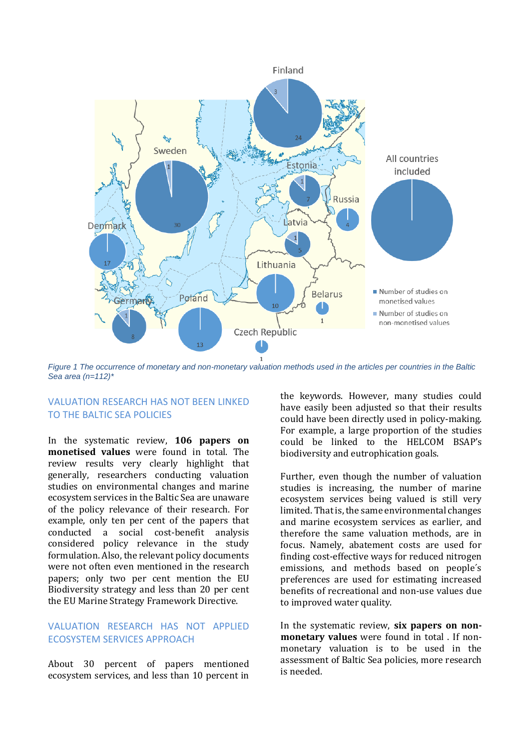

*Figure 1 The occurrence of monetary and non-monetary valuation methods used in the articles per countries in the Baltic Sea area (n=112)\**

#### VALUATION RESEARCH HAS NOT BEEN LINKED TO THE BALTIC SEA POLICIES

In the systematic review, **106 papers on monetised values** were found in total. The review results very clearly highlight that generally, researchers conducting valuation studies on environmental changes and marine ecosystem services in the Baltic Sea are unaware of the policy relevance of their research. For example, only ten per cent of the papers that conducted a social cost-benefit analysis considered policy relevance in the study formulation. Also, the relevant policy documents were not often even mentioned in the research papers; only two per cent mention the EU Biodiversity strategy and less than 20 per cent the EU Marine Strategy Framework Directive.

# VALUATION RESEARCH HAS NOT APPLIED ECOSYSTEM SERVICES APPROACH

About 30 percent of papers mentioned ecosystem services, and less than 10 percent in the keywords. However, many studies could have easily been adjusted so that their results could have been directly used in policy-making. For example, a large proportion of the studies could be linked to the HELCOM BSAP's biodiversity and eutrophication goals.

Further, even though the number of valuation studies is increasing, the number of marine ecosystem services being valued is still very limited. That is, the same environmental changes and marine ecosystem services as earlier, and therefore the same valuation methods, are in focus. Namely, abatement costs are used for finding cost-effective ways for reduced nitrogen emissions, and methods based on people´s preferences are used for estimating increased benefits of recreational and non-use values due to improved water quality.

In the systematic review, **six papers on nonmonetary values** were found in total . If nonmonetary valuation is to be used in the assessment of Baltic Sea policies, more research is needed.